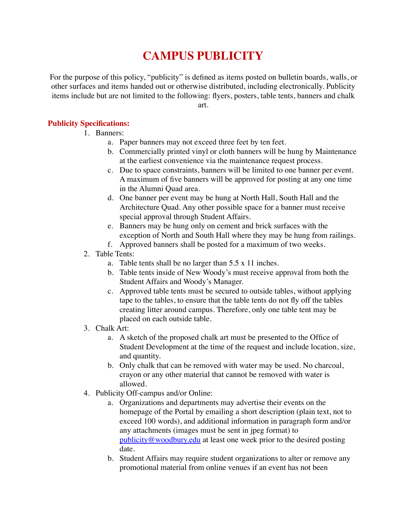# **CAMPUS PUBLICITY**

For the purpose of this policy, "publicity" is defined as items posted on bulletin boards, walls, or other surfaces and items handed out or otherwise distributed, including electronically. Publicity items include but are not limited to the following: flyers, posters, table tents, banners and chalk

art.

#### **Publicity Specifications:**

- 1. Banners:
	- a. Paper banners may not exceed three feet by ten feet.
	- b. Commercially printed vinyl or cloth banners will be hung by Maintenance at the earliest convenience via the maintenance request process.
	- c. Due to space constraints, banners will be limited to one banner per event. A maximum of five banners will be approved for posting at any one time in the Alumni Quad area.
	- d. One banner per event may be hung at North Hall, South Hall and the Architecture Quad. Any other possible space for a banner must receive special approval through Student Affairs.
	- e. Banners may be hung only on cement and brick surfaces with the exception of North and South Hall where they may be hung from railings.
	- f. Approved banners shall be posted for a maximum of two weeks.
- 2. Table Tents:
	- a. Table tents shall be no larger than 5.5 x 11 inches.
	- b. Table tents inside of New Woody's must receive approval from both the Student Affairs and Woody's Manager.
	- c. Approved table tents must be secured to outside tables, without applying tape to the tables, to ensure that the table tents do not fly off the tables creating litter around campus. Therefore, only one table tent may be placed on each outside table.
- 3. Chalk Art:
	- a. A sketch of the proposed chalk art must be presented to the Office of Student Development at the time of the request and include location, size, and quantity.
	- b. Only chalk that can be removed with water may be used. No charcoal, crayon or any other material that cannot be removed with water is allowed.
- 4. Publicity Off-campus and/or Online:
	- a. Organizations and departments may advertise their events on the homepage of the Portal by emailing a short description (plain text, not to exceed 100 words), and additional information in paragraph form and/or any attachments (images must be sent in jpeg format) to [publicity@woodbury.edu](mailto:publicity@woodbury.edu) at least one week prior to the desired posting date.
	- b. Student Affairs may require student organizations to alter or remove any promotional material from online venues if an event has not been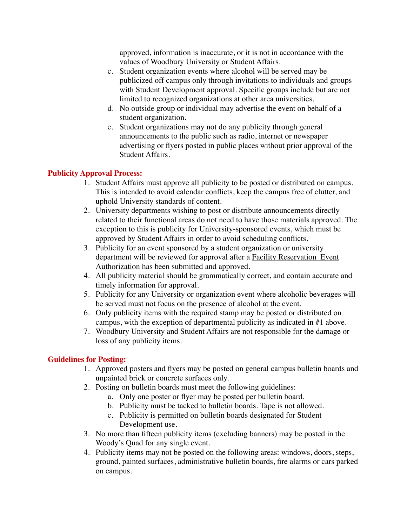approved, information is inaccurate, or it is not in accordance with the values of Woodbury University or Student Affairs.

- c. Student organization events where alcohol will be served may be publicized off campus only through invitations to individuals and groups with Student Development approval. Specific groups include but are not limited to recognized organizations at other area universities.
- d. No outside group or individual may advertise the event on behalf of a student organization.
- e. Student organizations may not do any publicity through general announcements to the public such as radio, internet or newspaper advertising or flyers posted in public places without prior approval of the Student Affairs.

#### **Publicity Approval Process:**

- 1. Student Affairs must approve all publicity to be posted or distributed on campus. This is intended to avoid calendar conflicts, keep the campus free of clutter, and uphold University standards of content.
- 2. University departments wishing to post or distribute announcements directly related to their functional areas do not need to have those materials approved. The exception to this is publicity for University-sponsored events, which must be approved by Student Affairs in order to avoid scheduling conflicts.
- 3. Publicity for an event sponsored by a student organization or university department will be reviewed for approval after a Facility Reservation Event Authorization has been submitted and approved.
- 4. All publicity material should be grammatically correct, and contain accurate and timely information for approval.
- 5. Publicity for any University or organization event where alcoholic beverages will be served must not focus on the presence of alcohol at the event.
- 6. Only publicity items with the required stamp may be posted or distributed on campus, with the exception of departmental publicity as indicated in #1 above.
- 7. Woodbury University and Student Affairs are not responsible for the damage or loss of any publicity items.

#### **Guidelines for Posting:**

- 1. Approved posters and flyers may be posted on general campus bulletin boards and unpainted brick or concrete surfaces only.
- 2. Posting on bulletin boards must meet the following guidelines:
	- a. Only one poster or flyer may be posted per bulletin board.
	- b. Publicity must be tacked to bulletin boards. Tape is not allowed.
	- c. Publicity is permitted on bulletin boards designated for Student Development use.
- 3. No more than fifteen publicity items (excluding banners) may be posted in the Woody's Quad for any single event.
- 4. Publicity items may not be posted on the following areas: windows, doors, steps, ground, painted surfaces, administrative bulletin boards, fire alarms or cars parked on campus.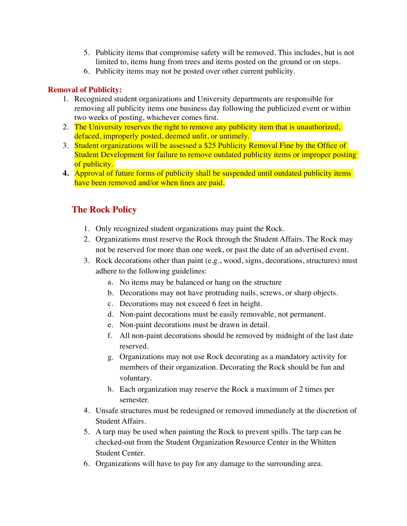- 5. Publicity items that compromise safety will be removed. This includes, but is not limited to, items hung from trees and items posted on the ground or on steps.
- 6. Publicity items may not be posted over other current publicity.

### **Removal of Publicity:**

- 1. Recognized student organizations and University departments are responsible for removing all publicity items one business day following the publicized event or within two weeks of posting, whichever comes first.
- 2. The University reserves the right to remove any publicity item that is unauthorized, defaced, improperly posted, deemed unfit, or untimely.
- 3. Student organizations will be assessed a \$25 Publicity Removal Fine by the Office of Student Development for failure to remove outdated publicity items or improper posting of publicity.
- **4.** Approval of future forms of publicity shall be suspended until outdated publicity items have been removed and/or when fines are paid.

## **The Rock Policy**

- 1. Only recognized student organizations may paint the Rock.
- 2. Organizations must reserve the Rock through the Student Affairs. The Rock may not be reserved for more than one week, or past the date of an advertised event.
- 3. Rock decorations other than paint (e.g., wood, signs, decorations, structures) must adhere to the following guidelines:
	- a. No items may be balanced or hang on the structure
	- b. Decorations may not have protruding nails, screws, or sharp objects.
	- c. Decorations may not exceed 6 feet in height.
	- d. Non-paint decorations must be easily removable, not permanent.
	- e. Non-paint decorations must be drawn in detail.
	- f. All non-paint decorations should be removed by midnight of the last date reserved.
	- g. Organizations may not use Rock decorating as a mandatory activity for members of their organization. Decorating the Rock should be fun and voluntary.
	- h. Each organization may reserve the Rock a maximum of 2 times per semester.
- 4. Unsafe structures must be redesigned or removed immediately at the discretion of Student Affairs.
- 5. A tarp may be used when painting the Rock to prevent spills. The tarp can be checked-out from the Student Organization Resource Center in the Whitten Student Center.
- 6. Organizations will have to pay for any damage to the surrounding area.